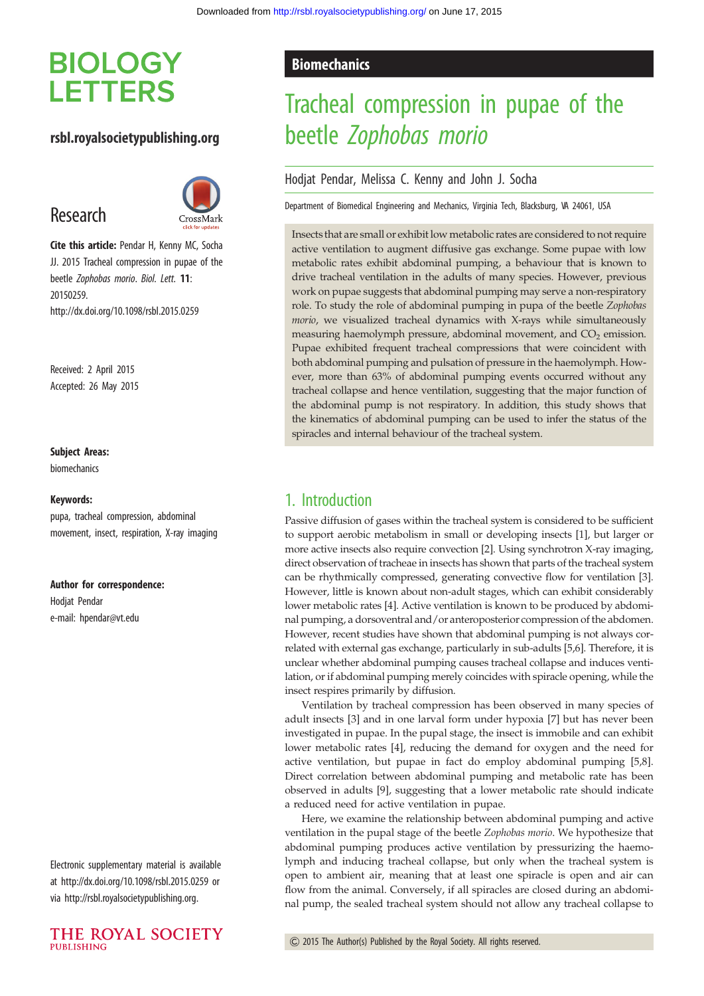# **BIOLOGY LETTERS**

# rsbl.royalsocietypublishing.org

# Research



Cite this article: Pendar H, Kenny MC, Socha JJ. 2015 Tracheal compression in pupae of the beetle Zophobas morio. Biol. Lett. 11: 20150259. http://dx.doi.org/10.1098/rsbl.2015.0259

Received: 2 April 2015 Accepted: 26 May 2015

#### Subject Areas:

biomechanics

#### Keywords:

pupa, tracheal compression, abdominal movement, insect, respiration, X-ray imaging

#### Author for correspondence:

Hodjat Pendar e-mail: [hpendar@vt.edu](mailto:hpendar@vt.edu)

Electronic supplementary material is available at<http://dx.doi.org/10.1098/rsbl.2015.0259> or via<http://rsbl.royalsocietypublishing.org>.



### **Biomechanics**

# Tracheal compression in pupae of the beetle Zophobas morio

#### Hodjat Pendar, Melissa C. Kenny and John J. Socha

Department of Biomedical Engineering and Mechanics, Virginia Tech, Blacksburg, VA 24061, USA

Insects that are small or exhibit low metabolic rates are considered to not require active ventilation to augment diffusive gas exchange. Some pupae with low metabolic rates exhibit abdominal pumping, a behaviour that is known to drive tracheal ventilation in the adults of many species. However, previous work on pupae suggests that abdominal pumping may serve a non-respiratory role. To study the role of abdominal pumping in pupa of the beetle Zophobas morio, we visualized tracheal dynamics with X-rays while simultaneously measuring haemolymph pressure, abdominal movement, and  $CO<sub>2</sub>$  emission. Pupae exhibited frequent tracheal compressions that were coincident with both abdominal pumping and pulsation of pressure in the haemolymph. However, more than 63% of abdominal pumping events occurred without any tracheal collapse and hence ventilation, suggesting that the major function of the abdominal pump is not respiratory. In addition, this study shows that the kinematics of abdominal pumping can be used to infer the status of the spiracles and internal behaviour of the tracheal system.

# 1. Introduction

Passive diffusion of gases within the tracheal system is considered to be sufficient to support aerobic metabolism in small or developing insects [[1](#page-3-0)], but larger or more active insects also require convection [[2](#page-3-0)]. Using synchrotron X-ray imaging, direct observation of tracheae in insects has shown that parts of the tracheal system can be rhythmically compressed, generating convective flow for ventilation [\[3\]](#page-3-0). However, little is known about non-adult stages, which can exhibit considerably lower metabolic rates [\[4](#page-3-0)]. Active ventilation is known to be produced by abdominal pumping, a dorsoventral and/or anteroposterior compression of the abdomen. However, recent studies have shown that abdominal pumping is not always correlated with external gas exchange, particularly in sub-adults [[5,6\]](#page-3-0). Therefore, it is unclear whether abdominal pumping causes tracheal collapse and induces ventilation, or if abdominal pumping merely coincides with spiracle opening, while the insect respires primarily by diffusion.

Ventilation by tracheal compression has been observed in many species of adult insects [[3](#page-3-0)] and in one larval form under hypoxia [[7](#page-3-0)] but has never been investigated in pupae. In the pupal stage, the insect is immobile and can exhibit lower metabolic rates [[4](#page-3-0)], reducing the demand for oxygen and the need for active ventilation, but pupae in fact do employ abdominal pumping [\[5,8\]](#page-3-0). Direct correlation between abdominal pumping and metabolic rate has been observed in adults [[9](#page-4-0)], suggesting that a lower metabolic rate should indicate a reduced need for active ventilation in pupae.

Here, we examine the relationship between abdominal pumping and active ventilation in the pupal stage of the beetle Zophobas morio. We hypothesize that abdominal pumping produces active ventilation by pressurizing the haemolymph and inducing tracheal collapse, but only when the tracheal system is open to ambient air, meaning that at least one spiracle is open and air can flow from the animal. Conversely, if all spiracles are closed during an abdominal pump, the sealed tracheal system should not allow any tracheal collapse to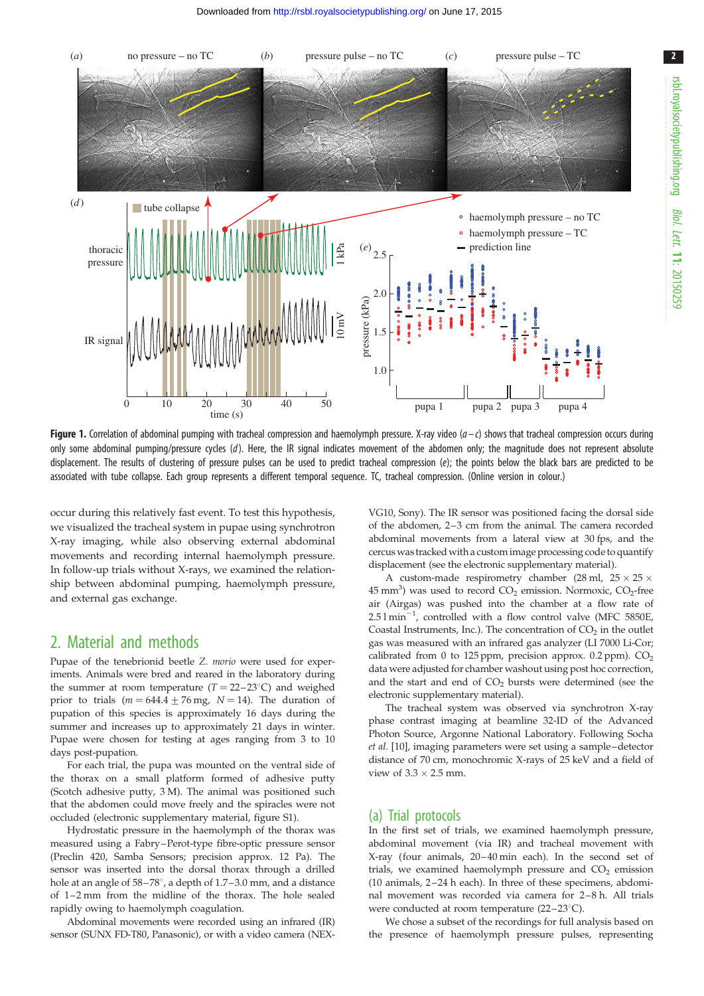<span id="page-1-0"></span>

**Figure 1.** Correlation of abdominal pumping with tracheal compression and haemolymph pressure. X-ray video  $(a-c)$  shows that tracheal compression occurs during only some abdominal pumping/pressure cycles (d). Here, the IR signal indicates movement of the abdomen only; the magnitude does not represent absolute displacement. The results of clustering of pressure pulses can be used to predict tracheal compression (e); the points below the black bars are predicted to be associated with tube collapse. Each group represents a different temporal sequence. TC, tracheal compression. (Online version in colour.)

occur during this relatively fast event. To test this hypothesis, we visualized the tracheal system in pupae using synchrotron X-ray imaging, while also observing external abdominal movements and recording internal haemolymph pressure. In follow-up trials without X-rays, we examined the relationship between abdominal pumping, haemolymph pressure, and external gas exchange.

## 2. Material and methods

Pupae of the tenebrionid beetle Z. *morio* were used for experiments. Animals were bred and reared in the laboratory during the summer at room temperature  $(T = 22 - 23^{\circ}C)$  and weighed prior to trials  $(m = 644.4 + 76$  mg,  $N = 14$ ). The duration of pupation of this species is approximately 16 days during the summer and increases up to approximately 21 days in winter. Pupae were chosen for testing at ages ranging from 3 to 10 days post-pupation.

For each trial, the pupa was mounted on the ventral side of the thorax on a small platform formed of adhesive putty (Scotch adhesive putty, 3 M). The animal was positioned such that the abdomen could move freely and the spiracles were not occluded (electronic supplementary material, figure S1).

Hydrostatic pressure in the haemolymph of the thorax was measured using a Fabry–Perot-type fibre-optic pressure sensor (Preclin 420, Samba Sensors; precision approx. 12 Pa). The sensor was inserted into the dorsal thorax through a drilled hole at an angle of  $58-78^\circ$ , a depth of  $1.7-3.0$  mm, and a distance of 1-2 mm from the midline of the thorax. The hole sealed rapidly owing to haemolymph coagulation.

Abdominal movements were recorded using an infrared (IR) sensor (SUNX FD-T80, Panasonic), or with a video camera (NEX- VG10, Sony). The IR sensor was positioned facing the dorsal side of the abdomen, 2–3 cm from the animal. The camera recorded abdominal movements from a lateral view at 30 fps, and the cercus was tracked with a custom image processing code to quantify displacement (see the electronic supplementary material).

A custom-made respirometry chamber (28 ml,  $25 \times 25 \times$  $45 \text{ mm}^3$ ) was used to record  $CO_2$  emission. Normoxic,  $CO_2$ -free air (Airgas) was pushed into the chamber at a flow rate of  $2.51 \text{min}^{-1}$ , controlled with a flow control valve (MFC 5850E, Coastal Instruments, Inc.). The concentration of  $CO<sub>2</sub>$  in the outlet gas was measured with an infrared gas analyzer (LI 7000 Li-Cor; calibrated from 0 to 125 ppm, precision approx.  $0.2$  ppm).  $CO<sub>2</sub>$ data were adjusted for chamber washout using post hoc correction, and the start and end of  $CO<sub>2</sub>$  bursts were determined (see the electronic supplementary material).

The tracheal system was observed via synchrotron X-ray phase contrast imaging at beamline 32-ID of the Advanced Photon Source, Argonne National Laboratory. Following Socha et al. [[10](#page-4-0)], imaging parameters were set using a sample –detector distance of 70 cm, monochromic X-rays of 25 keV and a field of view of  $3.3 \times 2.5$  mm.

#### (a) Trial protocols

In the first set of trials, we examined haemolymph pressure, abdominal movement (via IR) and tracheal movement with X-ray (four animals, 20 – 40 min each). In the second set of trials, we examined haemolymph pressure and  $CO<sub>2</sub>$  emission (10 animals, 2 – 24 h each). In three of these specimens, abdominal movement was recorded via camera for 2-8 h. All trials were conducted at room temperature  $(22-23^{\circ}C)$ .

We chose a subset of the recordings for full analysis based on the presence of haemolymph pressure pulses, representing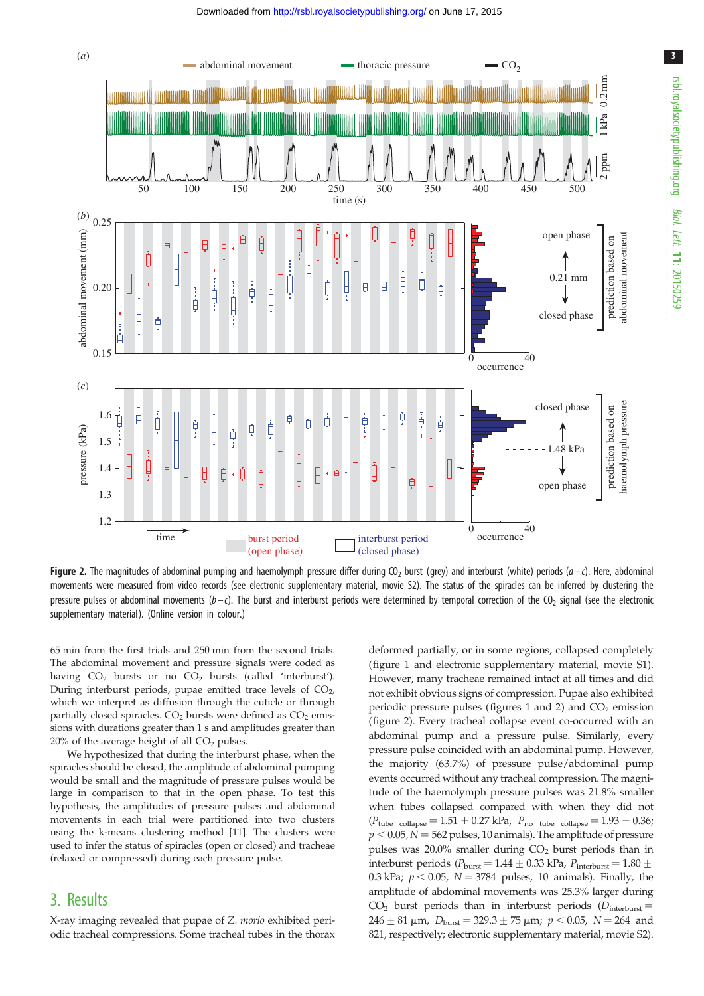<span id="page-2-0"></span>

Figure 2. The magnitudes of abdominal pumping and haemolymph pressure differ during CO<sub>2</sub> burst (grey) and interburst (white) periods (a–c). Here, abdominal movements were measured from video records (see electronic supplementary material, movie S2). The status of the spiracles can be inferred by clustering the pressure pulses or abdominal movements  $(b-c)$ . The burst and interburst periods were determined by temporal correction of the CO<sub>2</sub> signal (see the electronic supplementary material). (Online version in colour.)

65 min from the first trials and 250 min from the second trials. The abdominal movement and pressure signals were coded as having  $CO<sub>2</sub>$  bursts or no  $CO<sub>2</sub>$  bursts (called 'interburst'). During interburst periods, pupae emitted trace levels of CO<sub>2</sub>, which we interpret as diffusion through the cuticle or through partially closed spiracles.  $CO<sub>2</sub>$  bursts were defined as  $CO<sub>2</sub>$  emissions with durations greater than 1 s and amplitudes greater than  $20\%$  of the average height of all  $CO<sub>2</sub>$  pulses.

We hypothesized that during the interburst phase, when the spiracles should be closed, the amplitude of abdominal pumping would be small and the magnitude of pressure pulses would be large in comparison to that in the open phase. To test this hypothesis, the amplitudes of pressure pulses and abdominal movements in each trial were partitioned into two clusters using the k-means clustering method [[11](#page-4-0)]. The clusters were used to infer the status of spiracles (open or closed) and tracheae (relaxed or compressed) during each pressure pulse.

# 3. Results

X-ray imaging revealed that pupae of Z. morio exhibited periodic tracheal compressions. Some tracheal tubes in the thorax deformed partially, or in some regions, collapsed completely ([figure 1](#page-1-0) and electronic supplementary material, movie S1). However, many tracheae remained intact at all times and did not exhibit obvious signs of compression. Pupae also exhibited periodic pressure pulses (figures [1](#page-1-0) and 2) and  $CO<sub>2</sub>$  emission (figure 2). Every tracheal collapse event co-occurred with an abdominal pump and a pressure pulse. Similarly, every pressure pulse coincided with an abdominal pump. However, the majority (63.7%) of pressure pulse/abdominal pump events occurred without any tracheal compression. The magnitude of the haemolymph pressure pulses was 21.8% smaller when tubes collapsed compared with when they did not  $(P_{\text{tube}} \text{ collapse} = 1.51 \pm 0.27 \text{ kPa}$ ,  $P_{\text{no tube}} \text{ collapse} = 1.93 \pm 0.36$ ;  $p < 0.05$ ,  $N = 562$  pulses, 10 animals). The amplitude of pressure pulses was  $20.0\%$  smaller during  $CO<sub>2</sub>$  burst periods than in interburst periods ( $P_{\text{burst}} = 1.44 \pm 0.33 \text{ kPa}$ ,  $P_{\text{interburst}} = 1.80 \pm 0.33 \text{ kPa}$ 0.3 kPa;  $p < 0.05$ ,  $N = 3784$  pulses, 10 animals). Finally, the amplitude of abdominal movements was 25.3% larger during  $CO<sub>2</sub>$  burst periods than in interburst periods ( $D<sub>interburst</sub>$ )  $246 \pm 81$  µm,  $D_{\text{burst}} = 329.3 \pm 75$  µm;  $p < 0.05$ ,  $N = 264$  and 821, respectively; electronic supplementary material, movie S2).

3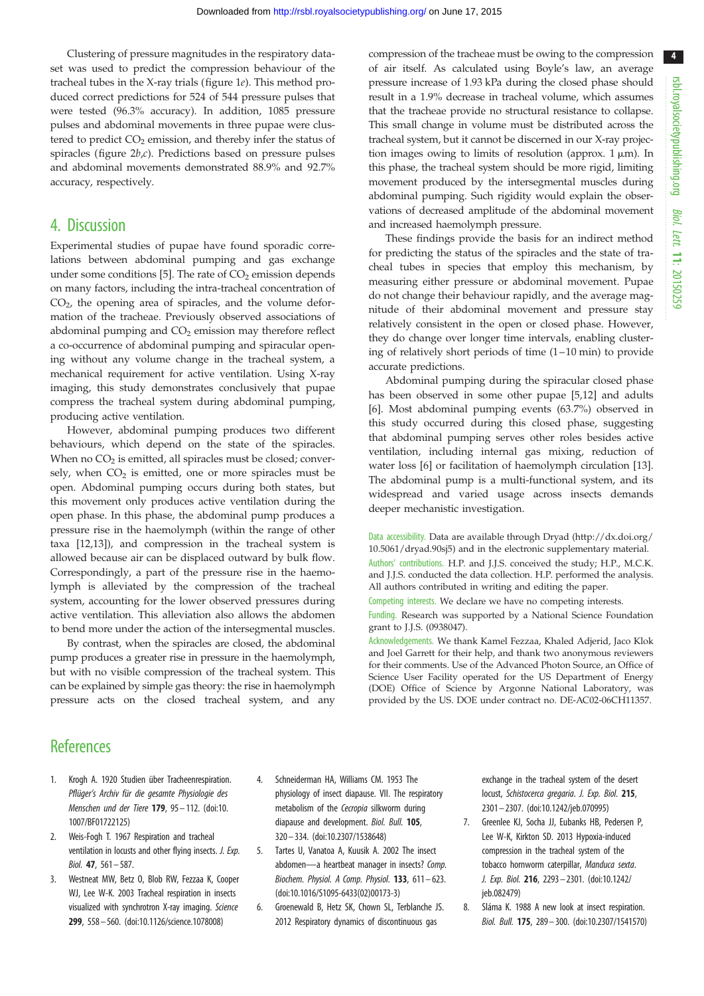4

<span id="page-3-0"></span>Clustering of pressure magnitudes in the respiratory dataset was used to predict the compression behaviour of the tracheal tubes in the X-ray trials [\(figure 1](#page-1-0)e). This method produced correct predictions for 524 of 544 pressure pulses that were tested (96.3% accuracy). In addition, 1085 pressure pulses and abdominal movements in three pupae were clustered to predict  $CO<sub>2</sub>$  emission, and thereby infer the status of spiracles (figure  $2b,c$ ). Predictions based on pressure pulses and abdominal movements demonstrated 88.9% and 92.7% accuracy, respectively.

# 4. Discussion

Experimental studies of pupae have found sporadic correlations between abdominal pumping and gas exchange under some conditions [5]. The rate of  $CO<sub>2</sub>$  emission depends on many factors, including the intra-tracheal concentration of  $CO<sub>2</sub>$ , the opening area of spiracles, and the volume deformation of the tracheae. Previously observed associations of abdominal pumping and  $CO<sub>2</sub>$  emission may therefore reflect a co-occurrence of abdominal pumping and spiracular opening without any volume change in the tracheal system, a mechanical requirement for active ventilation. Using X-ray imaging, this study demonstrates conclusively that pupae compress the tracheal system during abdominal pumping, producing active ventilation.

However, abdominal pumping produces two different behaviours, which depend on the state of the spiracles. When no  $CO<sub>2</sub>$  is emitted, all spiracles must be closed; conversely, when  $CO<sub>2</sub>$  is emitted, one or more spiracles must be open. Abdominal pumping occurs during both states, but this movement only produces active ventilation during the open phase. In this phase, the abdominal pump produces a pressure rise in the haemolymph (within the range of other taxa [[12](#page-4-0),[13\]](#page-4-0)), and compression in the tracheal system is allowed because air can be displaced outward by bulk flow. Correspondingly, a part of the pressure rise in the haemolymph is alleviated by the compression of the tracheal system, accounting for the lower observed pressures during active ventilation. This alleviation also allows the abdomen to bend more under the action of the intersegmental muscles.

By contrast, when the spiracles are closed, the abdominal pump produces a greater rise in pressure in the haemolymph, but with no visible compression of the tracheal system. This can be explained by simple gas theory: the rise in haemolymph pressure acts on the closed tracheal system, and any

compression of the tracheae must be owing to the compression of air itself. As calculated using Boyle's law, an average pressure increase of 1.93 kPa during the closed phase should result in a 1.9% decrease in tracheal volume, which assumes that the tracheae provide no structural resistance to collapse. This small change in volume must be distributed across the tracheal system, but it cannot be discerned in our X-ray projection images owing to limits of resolution (approx.  $1 \mu m$ ). In this phase, the tracheal system should be more rigid, limiting movement produced by the intersegmental muscles during abdominal pumping. Such rigidity would explain the observations of decreased amplitude of the abdominal movement and increased haemolymph pressure.

These findings provide the basis for an indirect method for predicting the status of the spiracles and the state of tracheal tubes in species that employ this mechanism, by measuring either pressure or abdominal movement. Pupae do not change their behaviour rapidly, and the average magnitude of their abdominal movement and pressure stay relatively consistent in the open or closed phase. However, they do change over longer time intervals, enabling clustering of relatively short periods of time  $(1-10 \text{ min})$  to provide accurate predictions.

Abdominal pumping during the spiracular closed phase has been observed in some other pupae [5,[12\]](#page-4-0) and adults [6]. Most abdominal pumping events (63.7%) observed in this study occurred during this closed phase, suggesting that abdominal pumping serves other roles besides active ventilation, including internal gas mixing, reduction of water loss [6] or facilitation of haemolymph circulation [[13\]](#page-4-0). The abdominal pump is a multi-functional system, and its widespread and varied usage across insects demands deeper mechanistic investigation.

Data accessibility. Data are available through Dryad ([http://dx.doi.org/](http://dx.doi.org/10.5061/dryad.90sj5) [10.5061/dryad.90sj5\)](http://dx.doi.org/10.5061/dryad.90sj5) and in the electronic supplementary material. Authors' contributions. H.P. and J.J.S. conceived the study; H.P., M.C.K. and J.J.S. conducted the data collection. H.P. performed the analysis. All authors contributed in writing and editing the paper.

Competing interests. We declare we have no competing interests.

Funding. Research was supported by a National Science Foundation grant to J.J.S. (0938047).

Acknowledgements. We thank Kamel Fezzaa, Khaled Adjerid, Jaco Klok and Joel Garrett for their help, and thank two anonymous reviewers for their comments. Use of the Advanced Photon Source, an Office of Science User Facility operated for the US Department of Energy (DOE) Office of Science by Argonne National Laboratory, was provided by the US. DOE under contract no. DE-AC02-06CH11357.

# **References**

- 1. Krogh A. 1920 Studien über Tracheenrespiration. Pflüger's Archiv für die gesamte Physiologie des Menschen und der Tiere 179, 95 – 112. [\(doi:10.](http://dx.doi.org/10.1007/BF01722125) [1007/BF01722125\)](http://dx.doi.org/10.1007/BF01722125)
- 2. Weis-Fogh T. 1967 Respiration and tracheal ventilation in locusts and other flying insects. J. Exp. Biol. 47, 561– 587.
- 3. Westneat MW, Betz O, Blob RW, Fezzaa K, Cooper WJ, Lee W-K. 2003 Tracheal respiration in insects visualized with synchrotron X-ray imaging. Science 299, 558– 560. [\(doi:10.1126/science.1078008\)](http://dx.doi.org/10.1126/science.1078008)
- 4. Schneiderman HA, Williams CM. 1953 The physiology of insect diapause. VII. The respiratory metabolism of the Cecropia silkworm during diapause and development. Biol. Bull. 105, 320 – 334. [\(doi:10.2307/1538648\)](http://dx.doi.org/10.2307/1538648)
- 5. Tartes U, Vanatoa A, Kuusik A. 2002 The insect abdomen—a heartbeat manager in insects? Comp. Biochem. Physiol. A Comp. Physiol. 133, 611– 623. [\(doi:10.1016/S1095-6433\(02\)00173-3](http://dx.doi.org/10.1016/S1095-6433(02)00173-3))
- 6. Groenewald B, Hetz SK, Chown SL, Terblanche JS. 2012 Respiratory dynamics of discontinuous gas

exchange in the tracheal system of the desert locust, Schistocerca gregaria. J. Exp. Biol. 215, 2301– 2307. ([doi:10.1242/jeb.070995\)](http://dx.doi.org/10.1242/jeb.070995)

- 7. Greenlee KJ, Socha JJ, Eubanks HB, Pedersen P, Lee W-K, Kirkton SD. 2013 Hypoxia-induced compression in the tracheal system of the tobacco hornworm caterpillar, Manduca sexta. J. Exp. Biol. 216, 2293 – 2301. ([doi:10.1242/](http://dx.doi.org/10.1242/jeb.082479) [jeb.082479](http://dx.doi.org/10.1242/jeb.082479))
- 8. Sláma K. 1988 A new look at insect respiration. Biol. Bull. 175, 289– 300. ([doi:10.2307/1541570](http://dx.doi.org/10.2307/1541570))